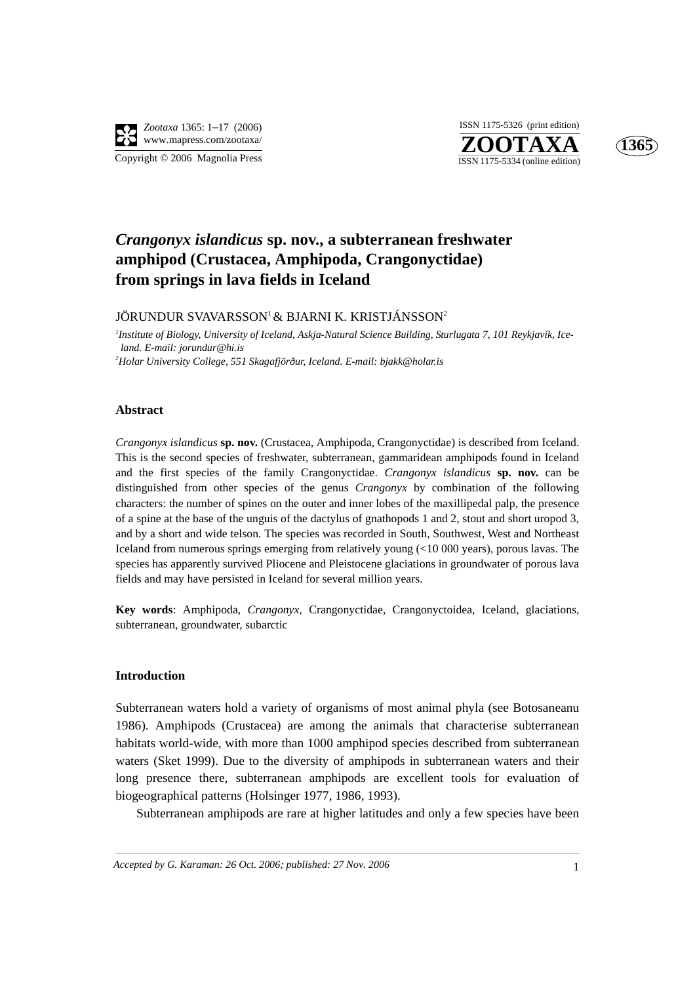

**ZOOTAXA**<br>ISSN 1175-5334 (online edition) ISSN 1175-5326 (print edition)



### *Crangonyx islandicus* **sp. nov., a subterranean freshwater amphipod (Crustacea, Amphipoda, Crangonyctidae) from springs in lava fields in Iceland**

JÖRUNDUR SVAVARSSON<sup>1</sup> & BJARNI K. KRISTJÁNSSON<sup>2</sup>

*1 Institute of Biology, University of Iceland, Askja-Natural Science Building, Sturlugata 7, 101 Reykjavík, Iceland. E-mail: jorundur@hi.is 2 Holar University College, 551 Skagafjörður, Iceland. E-mail: bjakk@holar.is*

#### **Abstract**

*Crangonyx islandicus* **sp. nov.** (Crustacea, Amphipoda, Crangonyctidae) is described from Iceland. This is the second species of freshwater, subterranean, gammaridean amphipods found in Iceland and the first species of the family Crangonyctidae. *Crangonyx islandicus* **sp. nov.** can be distinguished from other species of the genus *Crangonyx* by combination of the following characters: the number of spines on the outer and inner lobes of the maxillipedal palp, the presence of a spine at the base of the unguis of the dactylus of gnathopods 1 and 2, stout and short uropod 3, and by a short and wide telson. The species was recorded in South, Southwest, West and Northeast Iceland from numerous springs emerging from relatively young (<10 000 years), porous lavas. The species has apparently survived Pliocene and Pleistocene glaciations in groundwater of porous lava fields and may have persisted in Iceland for several million years.

**Key words**: Amphipoda, *Crangonyx*, Crangonyctidae, Crangonyctoidea, Iceland, glaciations, subterranean, groundwater, subarctic

#### **Introduction**

Subterranean waters hold a variety of organisms of most animal phyla (see Botosaneanu 1986). Amphipods (Crustacea) are among the animals that characterise subterranean habitats world-wide, with more than 1000 amphipod species described from subterranean waters (Sket 1999). Due to the diversity of amphipods in subterranean waters and their long presence there, subterranean amphipods are excellent tools for evaluation of biogeographical patterns (Holsinger 1977, 1986, 1993).

Subterranean amphipods are rare at higher latitudes and only a few species have been

*Accepted by G. Karaman: 26 Oct. 2006; published: 27 Nov. 2006* 1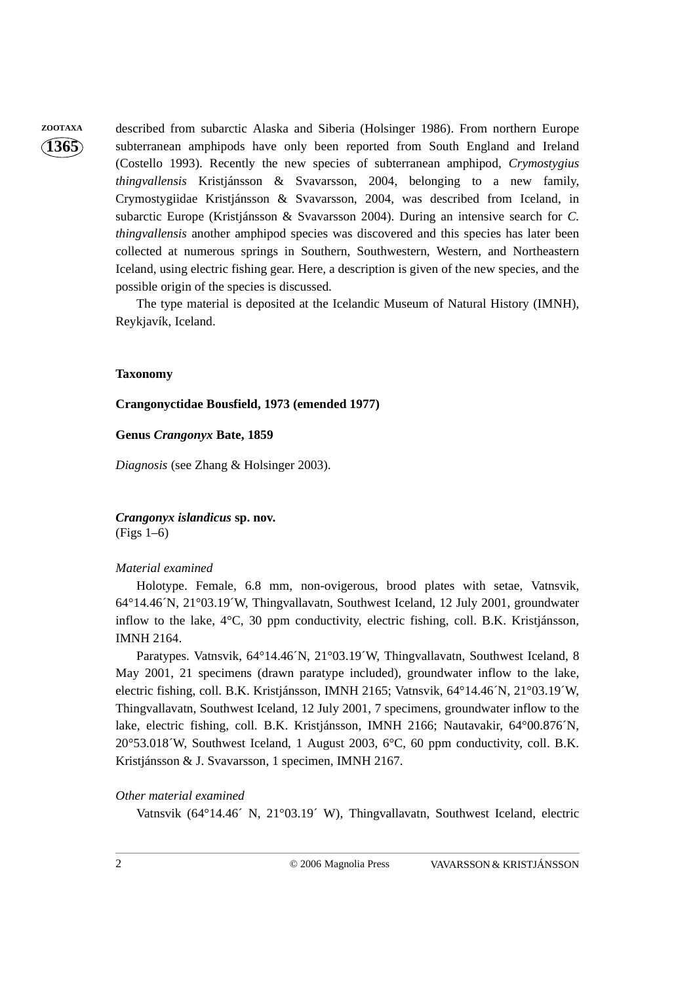**ZOOTAXA** described from subarctic Alaska and Siberia (Holsinger 1986). From northern Europe subterranean amphipods have only been reported from South England and Ireland (Costello 1993). Recently the new species of subterranean amphipod, *Crymostygius thingvallensis* Kristjánsson & Svavarsson, 2004, belonging to a new family, Crymostygiidae Kristjánsson & Svavarsson, 2004, was described from Iceland, in subarctic Europe (Kristjánsson & Svavarsson 2004). During an intensive search for *C. thingvallensis* another amphipod species was discovered and this species has later been collected at numerous springs in Southern, Southwestern, Western, and Northeastern Iceland, using electric fishing gear. Here, a description is given of the new species, and the possible origin of the species is discussed.

> The type material is deposited at the Icelandic Museum of Natural History (IMNH), Reykjavík, Iceland.

#### **Taxonomy**

**Crangonyctidae Bousfield, 1973 (emended 1977)**

#### **Genus** *Crangonyx* **Bate, 1859**

*Diagnosis* (see Zhang & Holsinger 2003).

*Crangonyx islandicus* **sp. nov.**  (Figs 1–6)

#### *Material examined*

Holotype. Female, 6.8 mm, non-ovigerous, brood plates with setae, Vatnsvik, 64°14.46´N, 21°03.19´W, Thingvallavatn, Southwest Iceland, 12 July 2001, groundwater inflow to the lake, 4°C, 30 ppm conductivity, electric fishing, coll. B.K. Kristjánsson, IMNH 2164.

Paratypes. Vatnsvik, 64°14.46´N, 21°03.19´W, Thingvallavatn, Southwest Iceland, 8 May 2001, 21 specimens (drawn paratype included), groundwater inflow to the lake, electric fishing, coll. B.K. Kristjánsson, IMNH 2165; Vatnsvik, 64°14.46´N, 21°03.19´W, Thingvallavatn, Southwest Iceland, 12 July 2001, 7 specimens, groundwater inflow to the lake, electric fishing, coll. B.K. Kristjánsson, IMNH 2166; Nautavakir, 64°00.876´N, 20°53.018´W, Southwest Iceland, 1 August 2003, 6°C, 60 ppm conductivity, coll. B.K. Kristjánsson & J. Svavarsson, 1 specimen, IMNH 2167.

#### *Other material examined*

Vatnsvik (64°14.46´ N, 21°03.19´ W), Thingvallavatn, Southwest Iceland, electric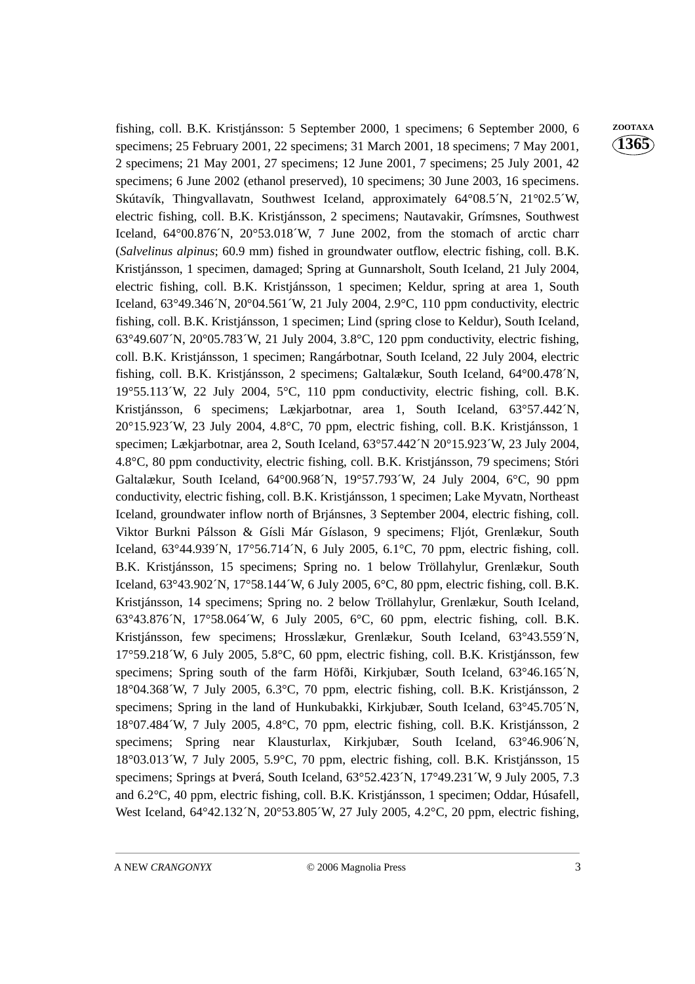fishing, coll. B.K. Kristjánsson: 5 September 2000, 1 specimens; 6 September 2000, 6 **ZOOTAXA** specimens; 25 February 2001, 22 specimens; 31 March 2001, 18 specimens; 7 May 2001, 2 specimens; 21 May 2001, 27 specimens; 12 June 2001, 7 specimens; 25 July 2001, 42 specimens; 6 June 2002 (ethanol preserved), 10 specimens; 30 June 2003, 16 specimens. Skútavík, Thingvallavatn, Southwest Iceland, approximately 64°08.5´N, 21°02.5´W, electric fishing, coll. B.K. Kristjánsson, 2 specimens; Nautavakir, Grímsnes, Southwest Iceland,  $64^{\circ}00.876^{\prime}N$ ,  $20^{\circ}53.018^{\prime}W$ , 7 June 2002, from the stomach of arctic charr (*Salvelinus alpinus*; 60.9 mm) fished in groundwater outflow, electric fishing, coll. B.K. Kristjánsson, 1 specimen, damaged; Spring at Gunnarsholt, South Iceland, 21 July 2004, electric fishing, coll. B.K. Kristjánsson, 1 specimen; Keldur, spring at area 1, South Iceland,  $63^{\circ}49.346$ <sup>'</sup>N,  $20^{\circ}04.561$ <sup>'</sup>W, 21 July 2004,  $2.9^{\circ}$ C, 110 ppm conductivity, electric fishing, coll. B.K. Kristjánsson, 1 specimen; Lind (spring close to Keldur), South Iceland,  $63^{\circ}49.607$ <sup>N</sup>,  $20^{\circ}05.783$ <sup>n</sup>,  $21$  July 2004,  $3.8^{\circ}$ C, 120 ppm conductivity, electric fishing, coll. B.K. Kristjánsson, 1 specimen; Rangárbotnar, South Iceland, 22 July 2004, electric fishing, coll. B.K. Kristjánsson, 2 specimens; Galtalækur, South Iceland, 64°00.478´N,  $19^{\circ}55.113'W$ , 22 July 2004,  $5^{\circ}C$ , 110 ppm conductivity, electric fishing, coll. B.K. Kristjánsson, 6 specimens; Lækjarbotnar, area 1, South Iceland, 63°57.442´N, 20°15.923´W, 23 July 2004, 4.8°C, 70 ppm, electric fishing, coll. B.K. Kristjánsson, 1 specimen; Lækjarbotnar, area 2, South Iceland, 63°57.442´N 20°15.923´W, 23 July 2004, 4.8°C, 80 ppm conductivity, electric fishing, coll. B.K. Kristjánsson, 79 specimens; Stóri Galtalækur, South Iceland, 64°00.968´N, 19°57.793´W, 24 July 2004, 6°C, 90 ppm conductivity, electric fishing, coll. B.K. Kristjánsson, 1 specimen; Lake Myvatn, Northeast Iceland, groundwater inflow north of Brjánsnes, 3 September 2004, electric fishing, coll. Viktor Burkni Pálsson & Gísli Már Gíslason, 9 specimens; Fljót, Grenlækur, South Iceland, 63°44.939´N, 17°56.714´N, 6 July 2005, 6.1°C, 70 ppm, electric fishing, coll. B.K. Kristjánsson, 15 specimens; Spring no. 1 below Tröllahylur, Grenlækur, South Iceland, 63°43.902´N, 17°58.144´W, 6 July 2005, 6°C, 80 ppm, electric fishing, coll. B.K. Kristjánsson, 14 specimens; Spring no. 2 below Tröllahylur, Grenlækur, South Iceland, 63°43.876´N, 17°58.064´W, 6 July 2005, 6°C, 60 ppm, electric fishing, coll. B.K. Kristjánsson, few specimens; Hrosslækur, Grenlækur, South Iceland, 63°43.559´N, 17°59.218´W, 6 July 2005, 5.8°C, 60 ppm, electric fishing, coll. B.K. Kristjánsson, few specimens; Spring south of the farm Höfði, Kirkjubær, South Iceland, 63°46.165´N, 18°04.368´W, 7 July 2005, 6.3°C, 70 ppm, electric fishing, coll. B.K. Kristjánsson, 2 specimens; Spring in the land of Hunkubakki, Kirkjubær, South Iceland, 63°45.705´N, 18°07.484´W, 7 July 2005, 4.8°C, 70 ppm, electric fishing, coll. B.K. Kristjánsson, 2 specimens; Spring near Klausturlax, Kirkjubær, South Iceland, 63°46.906´N, 18°03.013´W, 7 July 2005, 5.9°C, 70 ppm, electric fishing, coll. B.K. Kristjánsson, 15 specimens; Springs at Þverá, South Iceland, 63°52.423 $'N$ , 17°49.231 $'W$ , 9 July 2005, 7.3 and 6.2°C, 40 ppm, electric fishing, coll. B.K. Kristjánsson, 1 specimen; Oddar, Húsafell, West Iceland, 64°42.132′N, 20°53.805′W, 27 July 2005, 4.2°C, 20 ppm, electric fishing,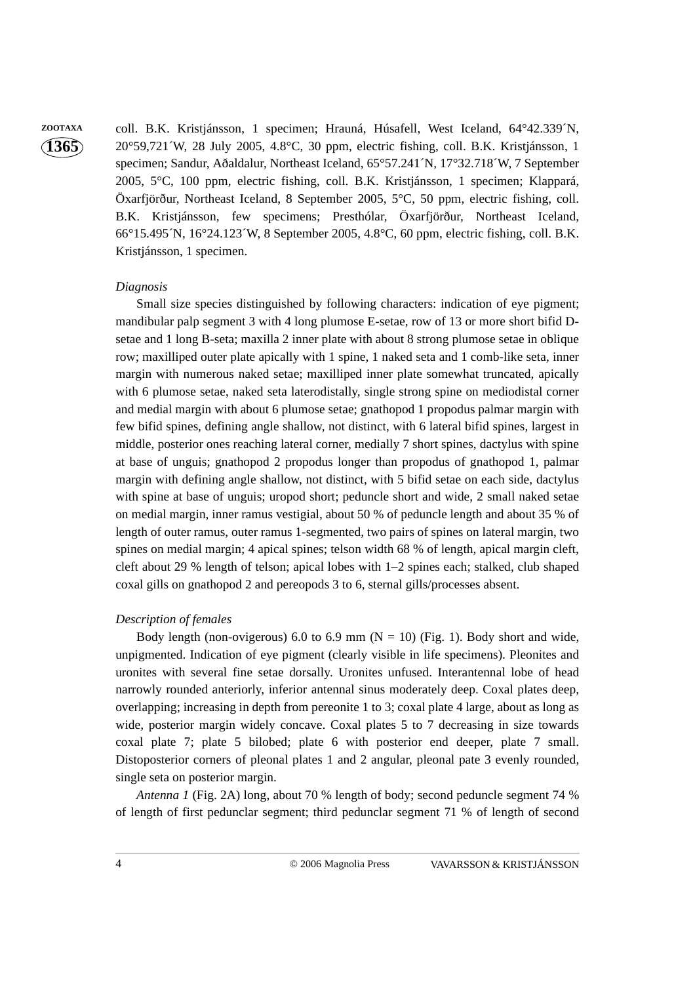**ZOOTAXA** coll. B.K. Kristjánsson, 1 specimen; Hrauná, Húsafell, West Iceland, 64°42.339´N, 20°59,721´W, 28 July 2005, 4.8°C, 30 ppm, electric fishing, coll. B.K. Kristjánsson, 1 specimen; Sandur, Aðaldalur, Northeast Iceland, 65°57.241´N, 17°32.718´W, 7 September 2005, 5°C, 100 ppm, electric fishing, coll. B.K. Kristjánsson, 1 specimen; Klappará, Öxarfjörður, Northeast Iceland, 8 September 2005, 5°C, 50 ppm, electric fishing, coll. B.K. Kristjánsson, few specimens; Presthólar, Öxarfjörður, Northeast Iceland, 66°15.495´N, 16°24.123´W, 8 September 2005, 4.8°C, 60 ppm, electric fishing, coll. B.K. Kristjánsson, 1 specimen.

#### *Diagnosis*

Small size species distinguished by following characters: indication of eye pigment; mandibular palp segment 3 with 4 long plumose E-setae, row of 13 or more short bifid Dsetae and 1 long B-seta; maxilla 2 inner plate with about 8 strong plumose setae in oblique row; maxilliped outer plate apically with 1 spine, 1 naked seta and 1 comb-like seta, inner margin with numerous naked setae; maxilliped inner plate somewhat truncated, apically with 6 plumose setae, naked seta laterodistally, single strong spine on mediodistal corner and medial margin with about 6 plumose setae; gnathopod 1 propodus palmar margin with few bifid spines, defining angle shallow, not distinct, with 6 lateral bifid spines, largest in middle, posterior ones reaching lateral corner, medially 7 short spines, dactylus with spine at base of unguis; gnathopod 2 propodus longer than propodus of gnathopod 1, palmar margin with defining angle shallow, not distinct, with 5 bifid setae on each side, dactylus with spine at base of unguis; uropod short; peduncle short and wide, 2 small naked setae on medial margin, inner ramus vestigial, about 50 % of peduncle length and about 35 % of length of outer ramus, outer ramus 1-segmented, two pairs of spines on lateral margin, two spines on medial margin; 4 apical spines; telson width 68 % of length, apical margin cleft, cleft about 29 % length of telson; apical lobes with 1–2 spines each; stalked, club shaped coxal gills on gnathopod 2 and pereopods 3 to 6, sternal gills/processes absent.

#### *Description of females*

Body length (non-ovigerous) 6.0 to 6.9 mm ( $N = 10$ ) (Fig. 1). Body short and wide, unpigmented. Indication of eye pigment (clearly visible in life specimens). Pleonites and uronites with several fine setae dorsally. Uronites unfused. Interantennal lobe of head narrowly rounded anteriorly, inferior antennal sinus moderately deep. Coxal plates deep, overlapping; increasing in depth from pereonite 1 to 3; coxal plate 4 large, about as long as wide, posterior margin widely concave. Coxal plates 5 to 7 decreasing in size towards coxal plate 7; plate 5 bilobed; plate 6 with posterior end deeper, plate 7 small. Distoposterior corners of pleonal plates 1 and 2 angular, pleonal pate 3 evenly rounded, single seta on posterior margin.

*Antenna 1* (Fig. 2A) long, about 70 % length of body; second peduncle segment 74 % of length of first pedunclar segment; third pedunclar segment 71 % of length of second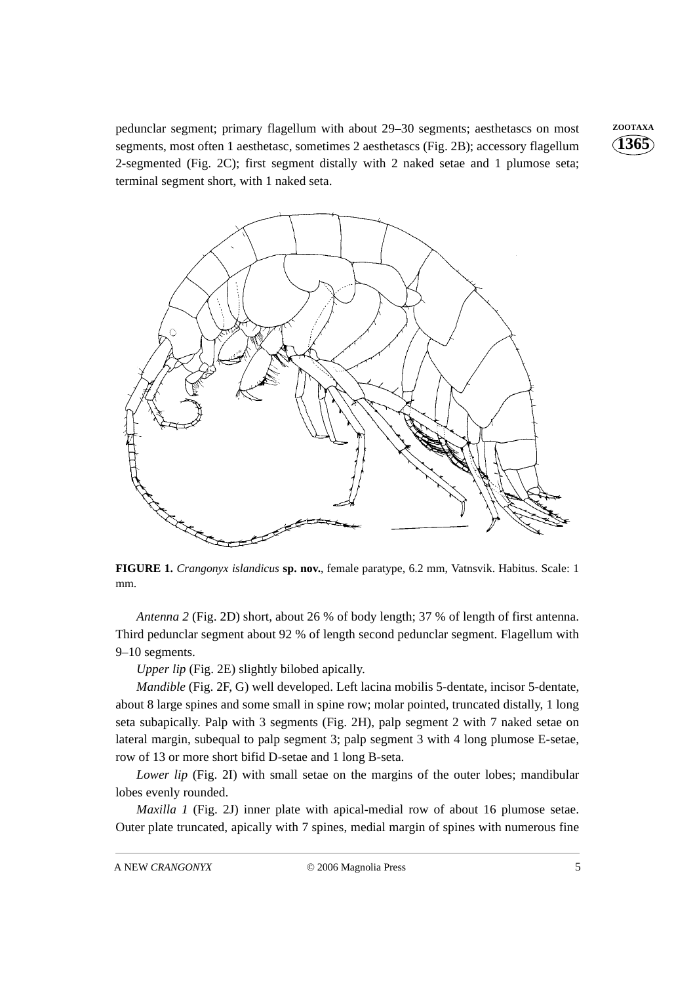pedunclar segment; primary flagellum with about 29-30 segments; aesthetascs on most **ZOOTAXA** segments, most often 1 aesthetasc, sometimes 2 aesthetascs (Fig. 2B); accessory flagellum 2-segmented (Fig. 2C); first segment distally with 2 naked setae and 1 plumose seta; terminal segment short, with 1 naked seta.



**FIGURE 1.** *Crangonyx islandicus* **sp. nov.**, female paratype, 6.2 mm, Vatnsvik. Habitus. Scale: 1 mm.

*Antenna 2* (Fig. 2D) short, about 26 % of body length; 37 % of length of first antenna. Third pedunclar segment about 92 % of length second pedunclar segment. Flagellum with 9–10 segments.

*Upper lip* (Fig. 2E) slightly bilobed apically.

*Mandible* (Fig. 2F, G) well developed. Left lacina mobilis 5-dentate, incisor 5-dentate, about 8 large spines and some small in spine row; molar pointed, truncated distally, 1 long seta subapically. Palp with 3 segments (Fig. 2H), palp segment 2 with 7 naked setae on lateral margin, subequal to palp segment 3; palp segment 3 with 4 long plumose E-setae, row of 13 or more short bifid D-setae and 1 long B-seta.

*Lower lip* (Fig. 2I) with small setae on the margins of the outer lobes; mandibular lobes evenly rounded.

*Maxilla 1* (Fig. 2J) inner plate with apical-medial row of about 16 plumose setae. Outer plate truncated, apically with 7 spines, medial margin of spines with numerous fine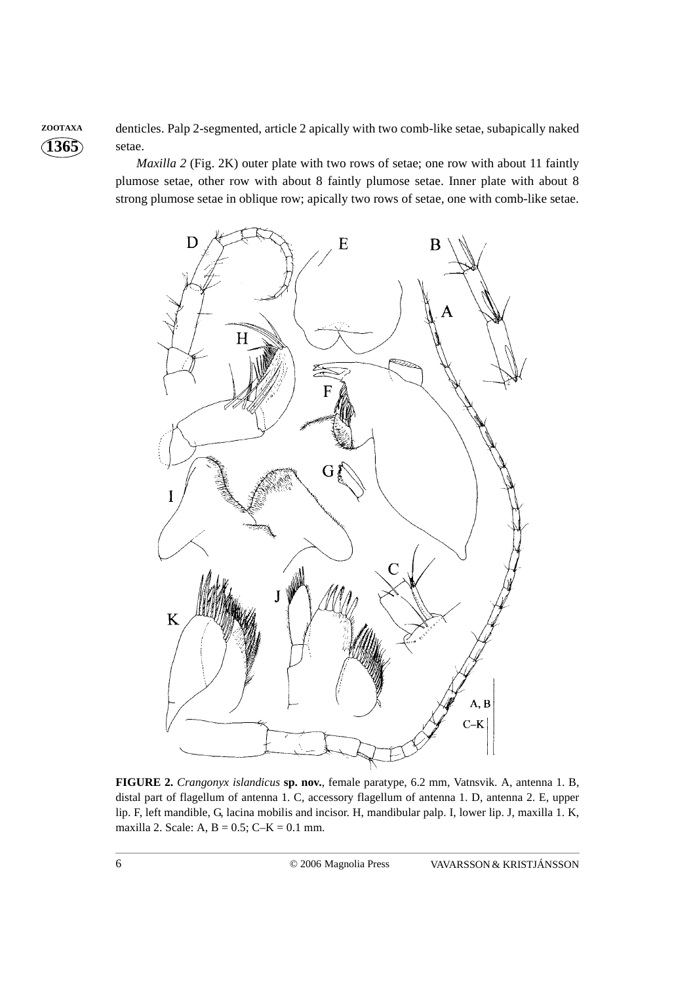**ZOOTAXA** denticles. Palp 2-segmented, article 2 apically with two comb-like setae, subapically naked setae.

> *Maxilla 2* (Fig. 2K) outer plate with two rows of setae; one row with about 11 faintly plumose setae, other row with about 8 faintly plumose setae. Inner plate with about 8 strong plumose setae in oblique row; apically two rows of setae, one with comb-like setae.



**FIGURE 2.** *Crangonyx islandicus* **sp. nov.**, female paratype, 6.2 mm, Vatnsvik. A, antenna 1. B, distal part of flagellum of antenna 1. C, accessory flagellum of antenna 1. D, antenna 2. E, upper lip. F, left mandible, G, lacina mobilis and incisor. H, mandibular palp. I, lower lip. J, maxilla 1. K, maxilla 2. Scale: A,  $B = 0.5$ ; C–K = 0.1 mm.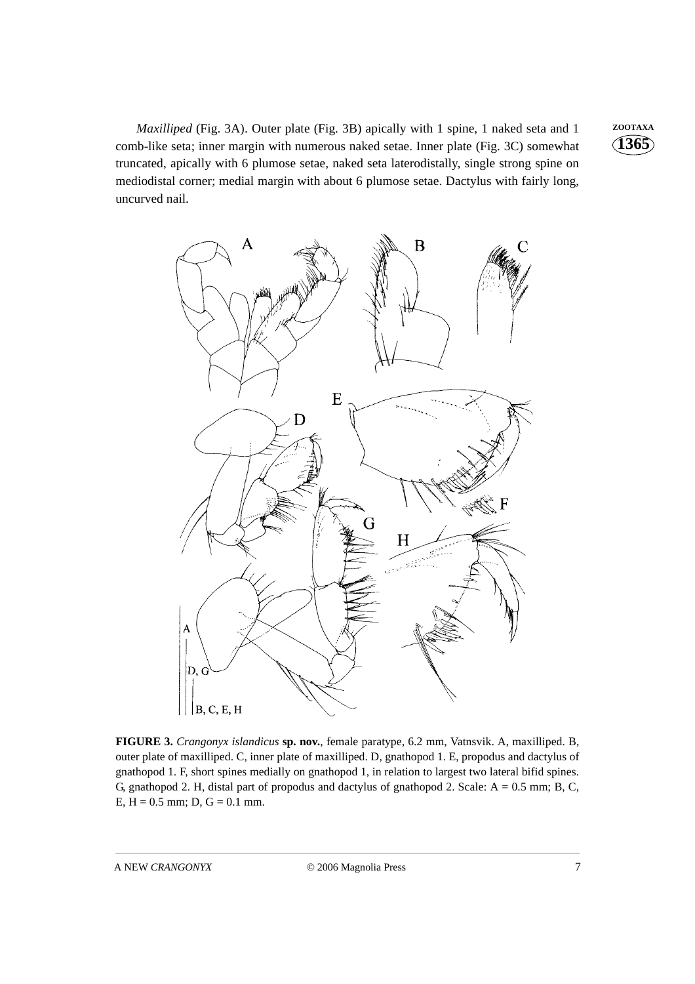*Maxilliped* (Fig. 3A). Outer plate (Fig. 3B) apically with 1 spine, 1 naked seta and 1 **ZOOTAXA** comb-like seta; inner margin with numerous naked setae. Inner plate (Fig. 3C) somewhat truncated, apically with 6 plumose setae, naked seta laterodistally, single strong spine on mediodistal corner; medial margin with about 6 plumose setae. Dactylus with fairly long, uncurved nail.



**FIGURE 3.** *Crangonyx islandicus* **sp. nov.**, female paratype, 6.2 mm, Vatnsvik. A, maxilliped. B, outer plate of maxilliped. C, inner plate of maxilliped. D, gnathopod 1. E, propodus and dactylus of gnathopod 1. F, short spines medially on gnathopod 1, in relation to largest two lateral bifid spines. G, gnathopod 2. H, distal part of propodus and dactylus of gnathopod 2. Scale: A = 0.5 mm; B, C, E,  $H = 0.5$  mm; D,  $G = 0.1$  mm.

A NEW *CRANGONYX* © 2006 Magnolia Press 7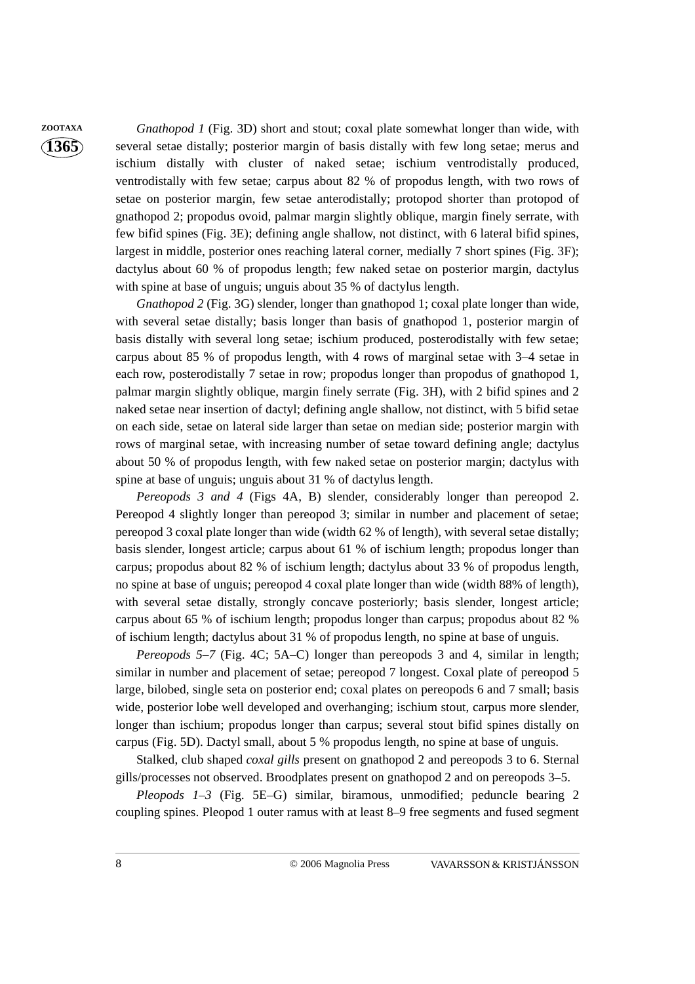**ZOOTAXA** *Gnathopod 1* (Fig. 3D) short and stout; coxal plate somewhat longer than wide, with several setae distally; posterior margin of basis distally with few long setae; merus and ischium distally with cluster of naked setae; ischium ventrodistally produced, ventrodistally with few setae; carpus about 82 % of propodus length, with two rows of setae on posterior margin, few setae anterodistally; protopod shorter than protopod of gnathopod 2; propodus ovoid, palmar margin slightly oblique, margin finely serrate, with few bifid spines (Fig. 3E); defining angle shallow, not distinct, with 6 lateral bifid spines, largest in middle, posterior ones reaching lateral corner, medially 7 short spines (Fig. 3F); dactylus about 60 % of propodus length; few naked setae on posterior margin, dactylus with spine at base of unguis; unguis about 35 % of dactylus length.

> *Gnathopod 2* (Fig. 3G) slender, longer than gnathopod 1; coxal plate longer than wide, with several setae distally; basis longer than basis of gnathopod 1, posterior margin of basis distally with several long setae; ischium produced, posterodistally with few setae; carpus about 85 % of propodus length, with 4 rows of marginal setae with 3–4 setae in each row, posterodistally 7 setae in row; propodus longer than propodus of gnathopod 1, palmar margin slightly oblique, margin finely serrate (Fig. 3H), with 2 bifid spines and 2 naked setae near insertion of dactyl; defining angle shallow, not distinct, with 5 bifid setae on each side, setae on lateral side larger than setae on median side; posterior margin with rows of marginal setae, with increasing number of setae toward defining angle; dactylus about 50 % of propodus length, with few naked setae on posterior margin; dactylus with spine at base of unguis; unguis about 31 % of dactylus length.

> *Pereopods 3 and 4* (Figs 4A, B) slender, considerably longer than pereopod 2. Pereopod 4 slightly longer than pereopod 3; similar in number and placement of setae; pereopod 3 coxal plate longer than wide (width 62 % of length), with several setae distally; basis slender, longest article; carpus about 61 % of ischium length; propodus longer than carpus; propodus about 82 % of ischium length; dactylus about 33 % of propodus length, no spine at base of unguis; pereopod 4 coxal plate longer than wide (width 88% of length), with several setae distally, strongly concave posteriorly; basis slender, longest article; carpus about 65 % of ischium length; propodus longer than carpus; propodus about 82 % of ischium length; dactylus about 31 % of propodus length, no spine at base of unguis.

> *Pereopods 5–7* (Fig. 4C; 5A–C) longer than pereopods 3 and 4, similar in length; similar in number and placement of setae; pereopod 7 longest. Coxal plate of pereopod 5 large, bilobed, single seta on posterior end; coxal plates on pereopods 6 and 7 small; basis wide, posterior lobe well developed and overhanging; ischium stout, carpus more slender, longer than ischium; propodus longer than carpus; several stout bifid spines distally on carpus (Fig. 5D). Dactyl small, about 5 % propodus length, no spine at base of unguis.

> Stalked, club shaped *coxal gills* present on gnathopod 2 and pereopods 3 to 6. Sternal gills/processes not observed. Broodplates present on gnathopod 2 and on pereopods 3–5.

> *Pleopods 1–3* (Fig. 5E–G) similar, biramous, unmodified; peduncle bearing 2 coupling spines. Pleopod 1 outer ramus with at least 8–9 free segments and fused segment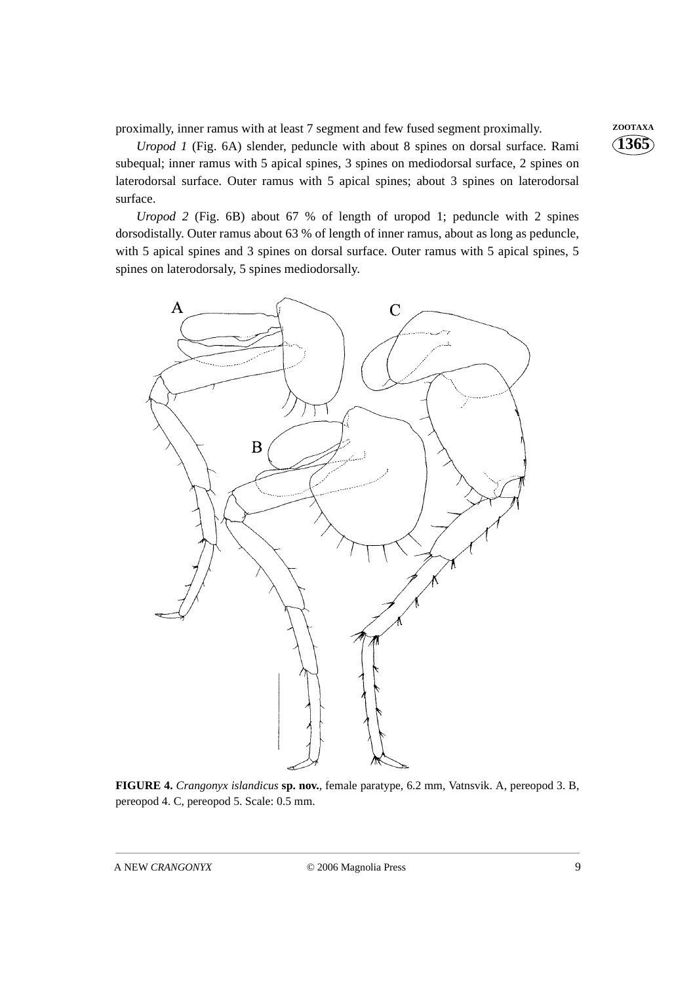proximally, inner ramus with at least 7 segment and few fused segment proximally. **ZOOTAXA** 

*Uropod 1* (Fig. 6A) slender, peduncle with about 8 spines on dorsal surface. Rami subequal; inner ramus with 5 apical spines, 3 spines on mediodorsal surface, 2 spines on laterodorsal surface. Outer ramus with 5 apical spines; about 3 spines on laterodorsal surface.

*Uropod 2* (Fig. 6B) about 67 % of length of uropod 1; peduncle with 2 spines dorsodistally. Outer ramus about 63 % of length of inner ramus, about as long as peduncle, with 5 apical spines and 3 spines on dorsal surface. Outer ramus with 5 apical spines, 5 spines on laterodorsaly, 5 spines mediodorsally.



**FIGURE 4.** *Crangonyx islandicus* **sp. nov.**, female paratype, 6.2 mm, Vatnsvik. A, pereopod 3. B, pereopod 4. C, pereopod 5. Scale: 0.5 mm.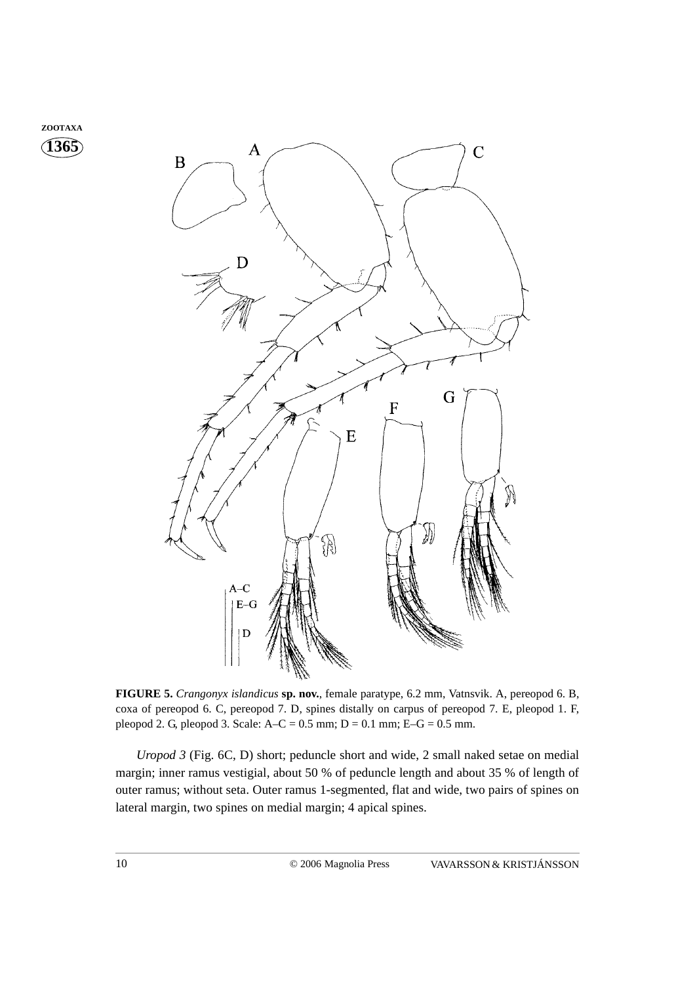



**FIGURE 5.** *Crangonyx islandicus* **sp. nov.**, female paratype, 6.2 mm, Vatnsvik. A, pereopod 6. B, coxa of pereopod 6. C, pereopod 7. D, spines distally on carpus of pereopod 7. E, pleopod 1. F, pleopod 2. G, pleopod 3. Scale:  $A-C = 0.5$  mm;  $D = 0.1$  mm;  $E-G = 0.5$  mm.

*Uropod 3* (Fig. 6C, D) short; peduncle short and wide, 2 small naked setae on medial margin; inner ramus vestigial, about 50 % of peduncle length and about 35 % of length of outer ramus; without seta. Outer ramus 1-segmented, flat and wide, two pairs of spines on lateral margin, two spines on medial margin; 4 apical spines.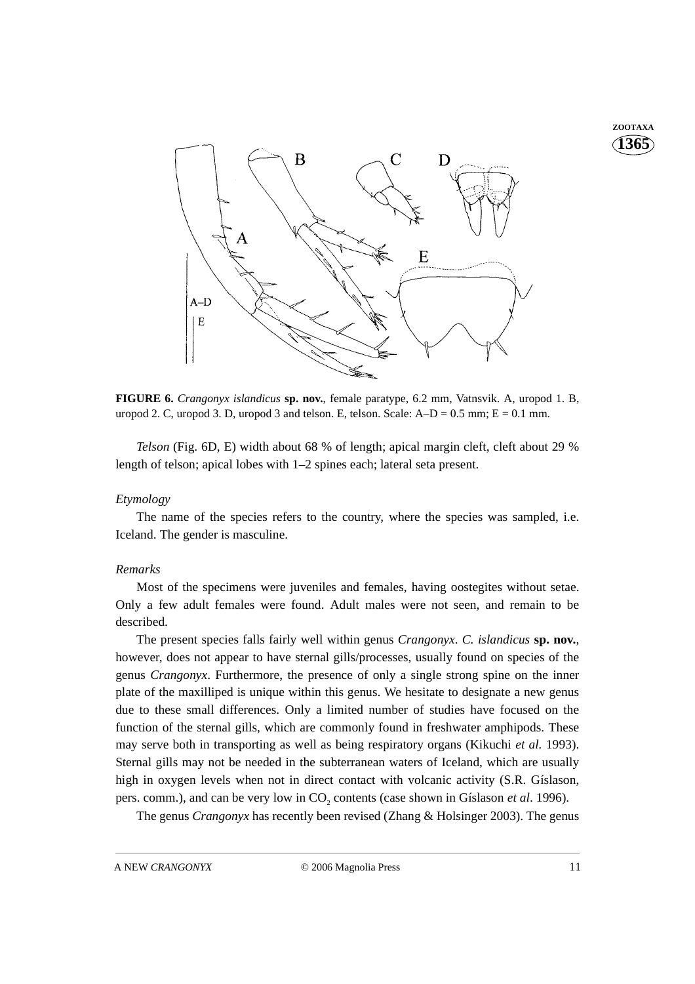**1365 ZOOTAXA**



**FIGURE 6.** *Crangonyx islandicus* **sp. nov.**, female paratype, 6.2 mm, Vatnsvik. A, uropod 1. B, uropod 2. C, uropod 3. D, uropod 3 and telson. E, telson. Scale:  $A-D = 0.5$  mm;  $E = 0.1$  mm.

*Telson* (Fig. 6D, E) width about 68 % of length; apical margin cleft, cleft about 29 % length of telson; apical lobes with 1–2 spines each; lateral seta present.

#### *Etymology*

The name of the species refers to the country, where the species was sampled, i.e. Iceland. The gender is masculine.

#### *Remarks*

Most of the specimens were juveniles and females, having oostegites without setae. Only a few adult females were found. Adult males were not seen, and remain to be described.

The present species falls fairly well within genus *Crangonyx*. *C. islandicus* **sp. nov.**, however, does not appear to have sternal gills/processes, usually found on species of the genus *Crangonyx*. Furthermore, the presence of only a single strong spine on the inner plate of the maxilliped is unique within this genus. We hesitate to designate a new genus due to these small differences. Only a limited number of studies have focused on the function of the sternal gills, which are commonly found in freshwater amphipods. These may serve both in transporting as well as being respiratory organs (Kikuchi *et al.* 1993). Sternal gills may not be needed in the subterranean waters of Iceland, which are usually high in oxygen levels when not in direct contact with volcanic activity (S.R. Gíslason, pers. comm.), and can be very low in CO<sub>2</sub> contents (case shown in Gíslason *et al.* 1996).

The genus *Crangonyx* has recently been revised (Zhang & Holsinger 2003). The genus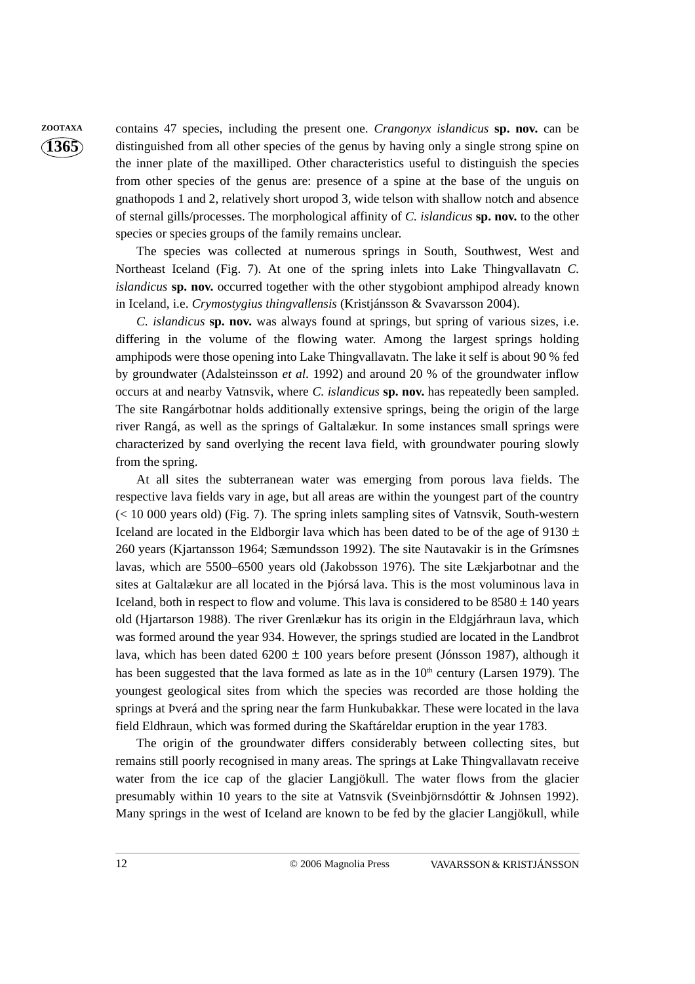**ZOOTAXA** contains 47 species, including the present one. *Crangonyx islandicus* **sp. nov.** can be distinguished from all other species of the genus by having only a single strong spine on the inner plate of the maxilliped. Other characteristics useful to distinguish the species from other species of the genus are: presence of a spine at the base of the unguis on gnathopods 1 and 2, relatively short uropod 3, wide telson with shallow notch and absence of sternal gills/processes. The morphological affinity of *C. islandicus* **sp. nov.** to the other species or species groups of the family remains unclear.

> The species was collected at numerous springs in South, Southwest, West and Northeast Iceland (Fig. 7). At one of the spring inlets into Lake Thingvallavatn *C. islandicus* **sp. nov.** occurred together with the other stygobiont amphipod already known in Iceland, i.e. *Crymostygius thingvallensis* (Kristjánsson & Svavarsson 2004).

> *C. islandicus* **sp. nov.** was always found at springs, but spring of various sizes, i.e. differing in the volume of the flowing water. Among the largest springs holding amphipods were those opening into Lake Thingvallavatn. The lake it self is about 90 % fed by groundwater (Adalsteinsson *et al*. 1992) and around 20 % of the groundwater inflow occurs at and nearby Vatnsvik, where *C. islandicus* **sp. nov.** has repeatedly been sampled. The site Rangárbotnar holds additionally extensive springs, being the origin of the large river Rangá, as well as the springs of Galtalækur. In some instances small springs were characterized by sand overlying the recent lava field, with groundwater pouring slowly from the spring.

> At all sites the subterranean water was emerging from porous lava fields. The respective lava fields vary in age, but all areas are within the youngest part of the country (< 10 000 years old) (Fig. 7). The spring inlets sampling sites of Vatnsvik, South-western Iceland are located in the Eldborgir lava which has been dated to be of the age of 9130  $\pm$ 260 years (Kjartansson 1964; Sæmundsson 1992). The site Nautavakir is in the Grímsnes lavas, which are 5500–6500 years old (Jakobsson 1976). The site Lækjarbotnar and the sites at Galtalækur are all located in the Þjórsá lava. This is the most voluminous lava in Iceland, both in respect to flow and volume. This lava is considered to be  $8580 \pm 140$  years old (Hjartarson 1988). The river Grenlækur has its origin in the Eldgjárhraun lava, which was formed around the year 934. However, the springs studied are located in the Landbrot lava, which has been dated  $6200 \pm 100$  years before present (Jónsson 1987), although it has been suggested that the lava formed as late as in the  $10<sup>th</sup>$  century (Larsen 1979). The youngest geological sites from which the species was recorded are those holding the springs at Þverá and the spring near the farm Hunkubakkar. These were located in the lava field Eldhraun, which was formed during the Skaftáreldar eruption in the year 1783.

> The origin of the groundwater differs considerably between collecting sites, but remains still poorly recognised in many areas. The springs at Lake Thingvallavatn receive water from the ice cap of the glacier Langjökull. The water flows from the glacier presumably within 10 years to the site at Vatnsvik (Sveinbjörnsdóttir & Johnsen 1992). Many springs in the west of Iceland are known to be fed by the glacier Langjökull, while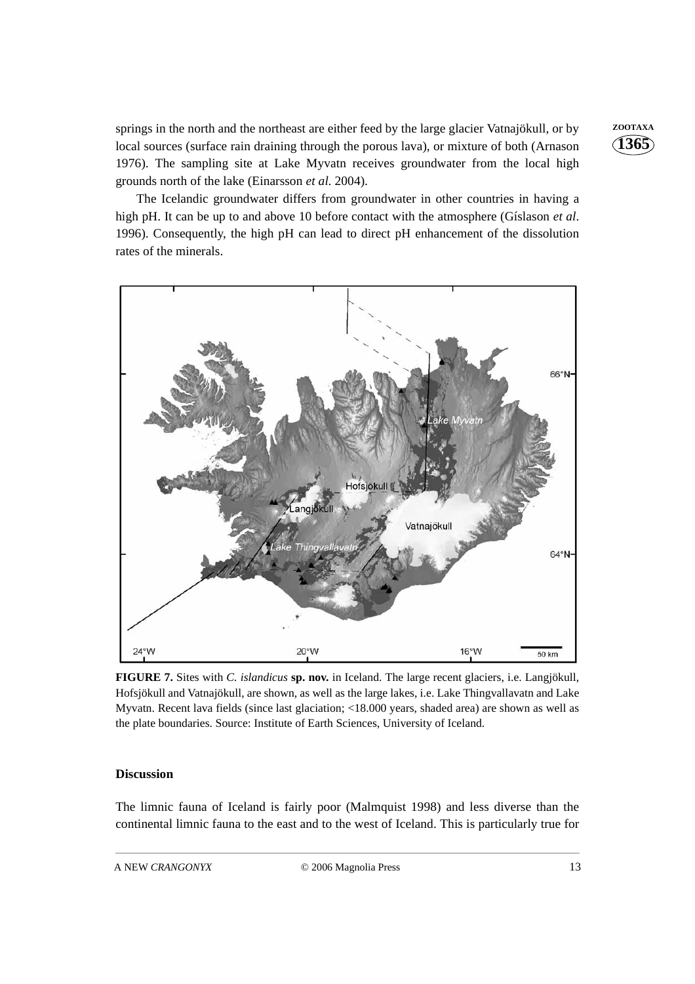springs in the north and the northeast are either feed by the large glacier Vatnajökull, or by **ZOOTAXA** local sources (surface rain draining through the porous lava), or mixture of both (Arnason 1976). The sampling site at Lake Myvatn receives groundwater from the local high grounds north of the lake (Einarsson *et al.* 2004).

The Icelandic groundwater differs from groundwater in other countries in having a high pH. It can be up to and above 10 before contact with the atmosphere (Gíslason *et al*. 1996). Consequently, the high pH can lead to direct pH enhancement of the dissolution rates of the minerals.



**FIGURE 7.** Sites with *C. islandicus* **sp. nov.** in Iceland. The large recent glaciers, i.e. Langjökull, Hofsjökull and Vatnajökull, are shown, as well as the large lakes, i.e. Lake Thingvallavatn and Lake Myvatn. Recent lava fields (since last glaciation; <18.000 years, shaded area) are shown as well as the plate boundaries. Source: Institute of Earth Sciences, University of Iceland.

#### **Discussion**

The limnic fauna of Iceland is fairly poor (Malmquist 1998) and less diverse than the continental limnic fauna to the east and to the west of Iceland. This is particularly true for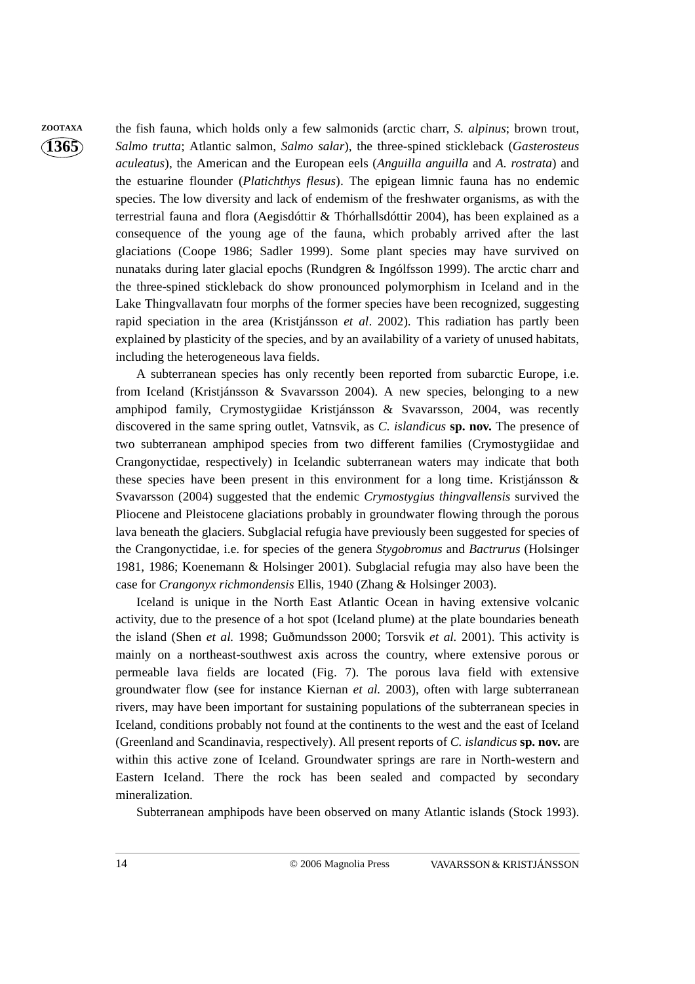**ZOOTAXA** the fish fauna, which holds only a few salmonids (arctic charr, *S. alpinus*; brown trout, *Salmo trutta*; Atlantic salmon, *Salmo salar*), the three-spined stickleback (*Gasterosteus aculeatus*), the American and the European eels (*Anguilla anguilla* and *A. rostrata*) and the estuarine flounder (*Platichthys flesus*). The epigean limnic fauna has no endemic species. The low diversity and lack of endemism of the freshwater organisms, as with the terrestrial fauna and flora (Aegisdóttir & Thórhallsdóttir 2004), has been explained as a consequence of the young age of the fauna, which probably arrived after the last glaciations (Coope 1986; Sadler 1999). Some plant species may have survived on nunataks during later glacial epochs (Rundgren & Ingólfsson 1999). The arctic charr and the three-spined stickleback do show pronounced polymorphism in Iceland and in the Lake Thingvallavatn four morphs of the former species have been recognized, suggesting rapid speciation in the area (Kristjánsson *et al*. 2002). This radiation has partly been explained by plasticity of the species, and by an availability of a variety of unused habitats, including the heterogeneous lava fields.

> A subterranean species has only recently been reported from subarctic Europe, i.e. from Iceland (Kristjánsson & Svavarsson 2004). A new species, belonging to a new amphipod family, Crymostygiidae Kristjánsson & Svavarsson, 2004, was recently discovered in the same spring outlet, Vatnsvik, as *C. islandicus* **sp. nov.** The presence of two subterranean amphipod species from two different families (Crymostygiidae and Crangonyctidae, respectively) in Icelandic subterranean waters may indicate that both these species have been present in this environment for a long time. Kristjánsson & Svavarsson (2004) suggested that the endemic *Crymostygius thingvallensis* survived the Pliocene and Pleistocene glaciations probably in groundwater flowing through the porous lava beneath the glaciers. Subglacial refugia have previously been suggested for species of the Crangonyctidae, i.e. for species of the genera *Stygobromus* and *Bactrurus* (Holsinger 1981, 1986; Koenemann & Holsinger 2001). Subglacial refugia may also have been the case for *Crangonyx richmondensis* Ellis, 1940 (Zhang & Holsinger 2003).

> Iceland is unique in the North East Atlantic Ocean in having extensive volcanic activity, due to the presence of a hot spot (Iceland plume) at the plate boundaries beneath the island (Shen *et al.* 1998; Guðmundsson 2000; Torsvik *et al.* 2001). This activity is mainly on a northeast-southwest axis across the country, where extensive porous or permeable lava fields are located (Fig. 7). The porous lava field with extensive groundwater flow (see for instance Kiernan *et al.* 2003), often with large subterranean rivers, may have been important for sustaining populations of the subterranean species in Iceland, conditions probably not found at the continents to the west and the east of Iceland (Greenland and Scandinavia, respectively). All present reports of *C. islandicus* **sp. nov.** are within this active zone of Iceland. Groundwater springs are rare in North-western and Eastern Iceland. There the rock has been sealed and compacted by secondary mineralization.

Subterranean amphipods have been observed on many Atlantic islands (Stock 1993).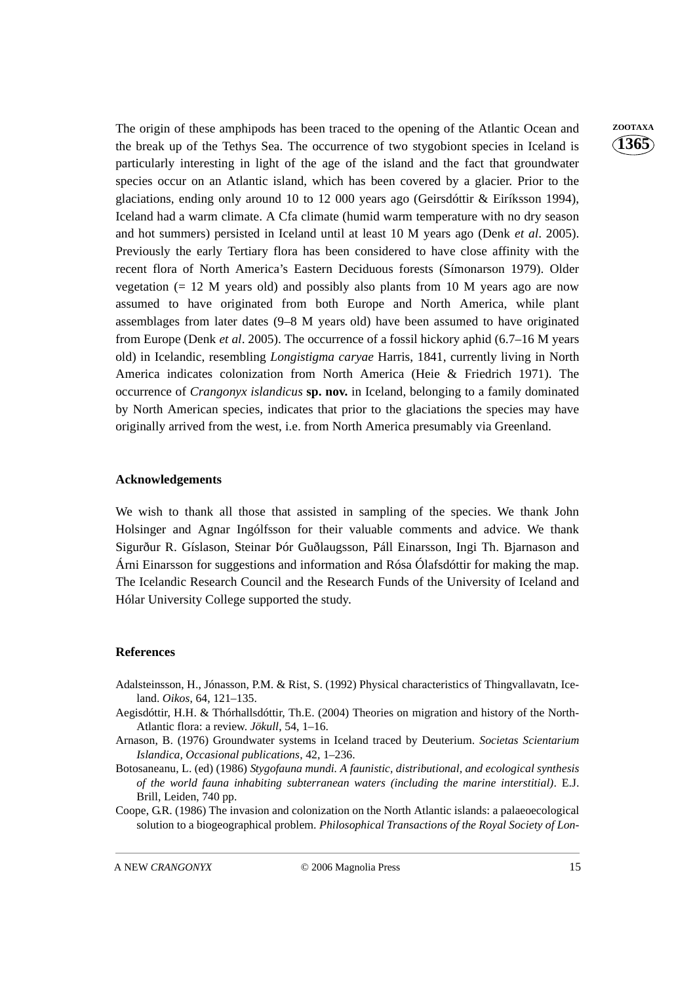The origin of these amphipods has been traced to the opening of the Atlantic Ocean and **ZOOTAXA** the break up of the Tethys Sea. The occurrence of two stygobiont species in Iceland is particularly interesting in light of the age of the island and the fact that groundwater species occur on an Atlantic island, which has been covered by a glacier. Prior to the glaciations, ending only around 10 to 12 000 years ago (Geirsdóttir & Eiríksson 1994), Iceland had a warm climate. A Cfa climate (humid warm temperature with no dry season and hot summers) persisted in Iceland until at least 10 M years ago (Denk *et al*. 2005). Previously the early Tertiary flora has been considered to have close affinity with the recent flora of North America's Eastern Deciduous forests (Símonarson 1979). Older vegetation  $(= 12 \text{ M}$  years old) and possibly also plants from 10 M years ago are now assumed to have originated from both Europe and North America, while plant assemblages from later dates (9–8 M years old) have been assumed to have originated from Europe (Denk *et al*. 2005). The occurrence of a fossil hickory aphid (6.7–16 M years old) in Icelandic, resembling *Longistigma caryae* Harris, 1841, currently living in North America indicates colonization from North America (Heie & Friedrich 1971). The occurrence of *Crangonyx islandicus* **sp. nov.** in Iceland, belonging to a family dominated by North American species, indicates that prior to the glaciations the species may have originally arrived from the west, i.e. from North America presumably via Greenland.

#### **Acknowledgements**

We wish to thank all those that assisted in sampling of the species. We thank John Holsinger and Agnar Ingólfsson for their valuable comments and advice. We thank Sigurður R. Gíslason, Steinar Þór Guðlaugsson, Páll Einarsson, Ingi Th. Bjarnason and Árni Einarsson for suggestions and information and Rósa Ólafsdóttir for making the map. The Icelandic Research Council and the Research Funds of the University of Iceland and Hólar University College supported the study.

#### **References**

- Adalsteinsson, H., Jónasson, P.M. & Rist, S. (1992) Physical characteristics of Thingvallavatn, Iceland. *Oikos*, 64, 121–135.
- Aegisdóttir, H.H. & Thórhallsdóttir, Th.E. (2004) Theories on migration and history of the North-Atlantic flora: a review. *Jökull*, 54, 1–16.
- Arnason, B. (1976) Groundwater systems in Iceland traced by Deuterium. *Societas Scientarium Islandica, Occasional publications*, 42, 1–236.
- Botosaneanu, L. (ed) (1986) *Stygofauna mundi. A faunistic, distributional, and ecological synthesis of the world fauna inhabiting subterranean waters (including the marine interstitial)*. E.J. Brill, Leiden, 740 pp.
- Coope, G.R. (1986) The invasion and colonization on the North Atlantic islands: a palaeoecological solution to a biogeographical problem. *Philosophical Transactions of the Royal Society of Lon-*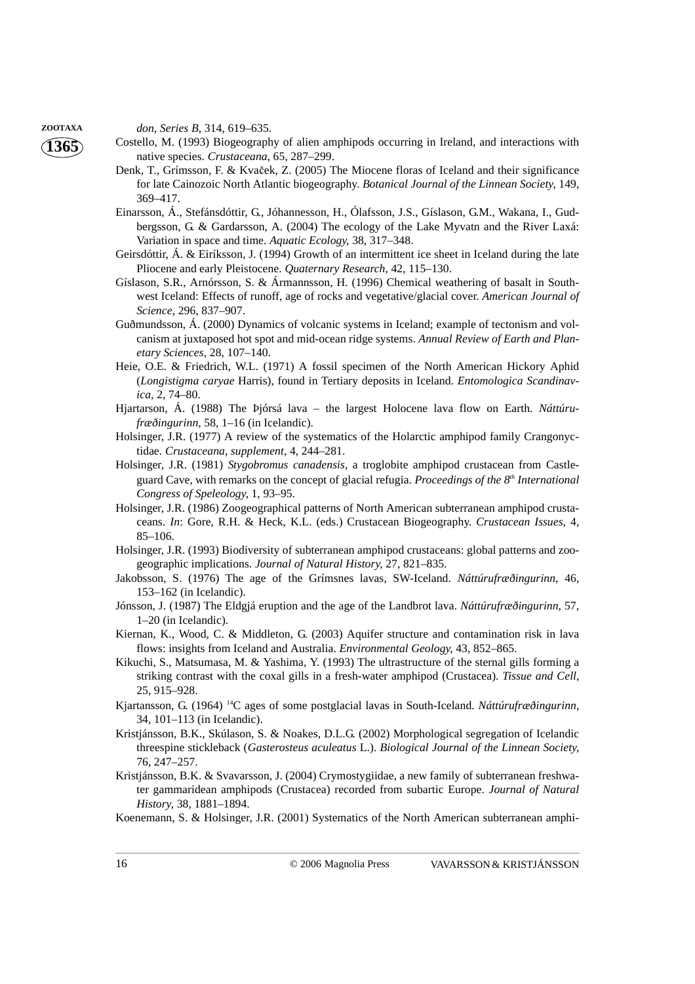**ZOOTAXA** *don, Series B*, 314, 619–635.

- Costello, M. (1993) Biogeography of alien amphipods occurring in Ireland, and interactions with native species. *Crustaceana*, 65, 287–299.
- Denk, T., Grímsson, F. & Kvaček, Z. (2005) The Miocene floras of Iceland and their significance for late Cainozoic North Atlantic biogeography. *Botanical Journal of the Linnean Society*, 149, 369–417.
- Einarsson, Á., Stefánsdóttir, G., Jóhannesson, H., Ólafsson, J.S., Gíslason, G.M., Wakana, I., Gudbergsson, G. & Gardarsson, A. (2004) The ecology of the Lake Myvatn and the River Laxá: Variation in space and time. *Aquatic Ecology*, 38, 317–348.
- Geirsdóttir, Á. & Eiríksson, J. (1994) Growth of an intermittent ice sheet in Iceland during the late Pliocene and early Pleistocene. *Quaternary Research*, 42, 115–130.
- Gíslason, S.R., Arnórsson, S. & Ármannsson, H. (1996) Chemical weathering of basalt in Southwest Iceland: Effects of runoff, age of rocks and vegetative/glacial cover. *American Journal of Science*, 296, 837–907.
- Guðmundsson, Á. (2000) Dynamics of volcanic systems in Iceland; example of tectonism and volcanism at juxtaposed hot spot and mid-ocean ridge systems. *Annual Review of Earth and Planetary Sciences*, 28, 107–140.
- Heie, O.E. & Friedrich, W.L. (1971) A fossil specimen of the North American Hickory Aphid (*Longistigma caryae* Harris), found in Tertiary deposits in Iceland. *Entomologica Scandinavica*, 2, 74–80.
- Hjartarson, Á. (1988) The Þjórsá lava the largest Holocene lava flow on Earth. *Náttúrufræðingurinn*, 58, 1–16 (in Icelandic).
- Holsinger, J.R. (1977) A review of the systematics of the Holarctic amphipod family Crangonyctidae. *Crustaceana, supplement*, 4, 244–281.
- Holsinger, J.R. (1981) *Stygobromus canadensis*, a troglobite amphipod crustacean from Castleguard Cave, with remarks on the concept of glacial refugia. *Proceedings of the 8th International Congress of Speleology*, 1, 93–95.
- Holsinger, J.R. (1986) Zoogeographical patterns of North American subterranean amphipod crustaceans. *In*: Gore, R.H. & Heck, K.L. (eds.) Crustacean Biogeography. *Crustacean Issues*, 4, 85–106.
- Holsinger, J.R. (1993) Biodiversity of subterranean amphipod crustaceans: global patterns and zoogeographic implications. *Journal of Natural History*, 27, 821–835.
- Jakobsson, S. (1976) The age of the Grímsnes lavas, SW-Iceland. *Náttúrufræðingurinn*, 46, 153–162 (in Icelandic).
- Jónsson, J. (1987) The Eldgjá eruption and the age of the Landbrot lava. *Náttúrufræðingurinn*, 57, 1–20 (in Icelandic).
- Kiernan, K., Wood, C. & Middleton, G. (2003) Aquifer structure and contamination risk in lava flows: insights from Iceland and Australia. *Environmental Geology*, 43, 852–865.
- Kikuchi, S., Matsumasa, M. & Yashima, Y. (1993) The ultrastructure of the sternal gills forming a striking contrast with the coxal gills in a fresh-water amphipod (Crustacea). *Tissue and Cell*, 25, 915–928.
- Kjartansson, G. (1964) 14C ages of some postglacial lavas in South-Iceland. *Náttúrufræðingurinn*, 34, 101–113 (in Icelandic).
- Kristjánsson, B.K., Skúlason, S. & Noakes, D.L.G. (2002) Morphological segregation of Icelandic threespine stickleback (*Gasterosteus aculeatus* L.). *Biological Journal of the Linnean Society*, 76, 247–257.
- Kristjánsson, B.K. & Svavarsson, J. (2004) Crymostygiidae, a new family of subterranean freshwater gammaridean amphipods (Crustacea) recorded from subartic Europe. *Journal of Natural History*, 38, 1881–1894.
- Koenemann, S. & Holsinger, J.R. (2001) Systematics of the North American subterranean amphi-